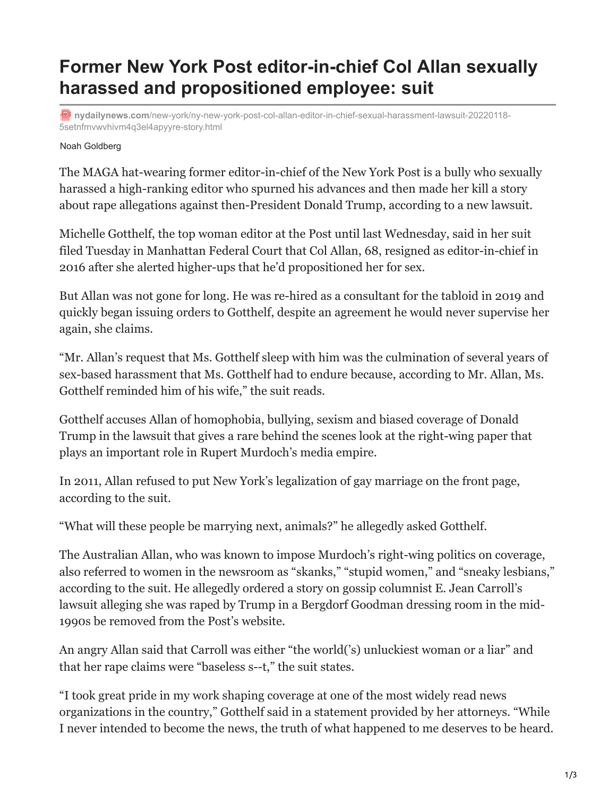## **Former New York Post editor-in-chief Col Allan sexually harassed and propositioned employee: suit**

**D** nydailynews.com[/new-york/ny-new-york-post-col-allan-editor-in-chief-sexual-harassment-lawsuit-20220118-](https://www.nydailynews.com/new-york/ny-new-york-post-col-allan-editor-in-chief-sexual-harassment-lawsuit-20220118-5setnfmvwvhivm4q3el4apyyre-story.html) 5setnfmvwvhivm4q3el4apyyre-story.html

## Noah Goldberg

The MAGA hat-wearing former editor-in-chief of the New York Post is a bully who sexually harassed a high-ranking editor who spurned his advances and then made her kill a story about rape allegations against then-President Donald Trump, according to a new lawsuit.

Michelle Gotthelf, the top woman editor at the Post until last Wednesday, said in her suit filed Tuesday in Manhattan Federal Court that Col Allan, 68, resigned as editor-in-chief in 2016 after she alerted higher-ups that he'd propositioned her for sex.

But Allan was not gone for long. He was re-hired as a consultant for the tabloid in 2019 and quickly began issuing orders to Gotthelf, despite an agreement he would never supervise her again, she claims.

"Mr. Allan's request that Ms. Gotthelf sleep with him was the culmination of several years of sex-based harassment that Ms. Gotthelf had to endure because, according to Mr. Allan, Ms. Gotthelf reminded him of his wife," the suit reads.

Gotthelf accuses Allan of homophobia, bullying, sexism and biased coverage of Donald Trump in the lawsuit that gives a rare behind the scenes look at the right-wing paper that plays an important role in Rupert Murdoch's media empire.

In 2011, Allan refused to put New York's legalization of gay marriage on the front page, according to the suit.

"What will these people be marrying next, animals?" he allegedly asked Gotthelf.

The Australian Allan, who was known to impose Murdoch's right-wing politics on coverage, also referred to women in the newsroom as "skanks," "stupid women," and "sneaky lesbians," according to the suit. He allegedly ordered a story on gossip columnist E. Jean Carroll's lawsuit alleging she was raped by Trump in a Bergdorf Goodman dressing room in the mid-1990s be removed from the Post's website.

An angry Allan said that Carroll was either "the world('s) unluckiest woman or a liar" and that her rape claims were "baseless s--t," the suit states.

"I took great pride in my work shaping coverage at one of the most widely read news organizations in the country," Gotthelf said in a statement provided by her attorneys. "While I never intended to become the news, the truth of what happened to me deserves to be heard.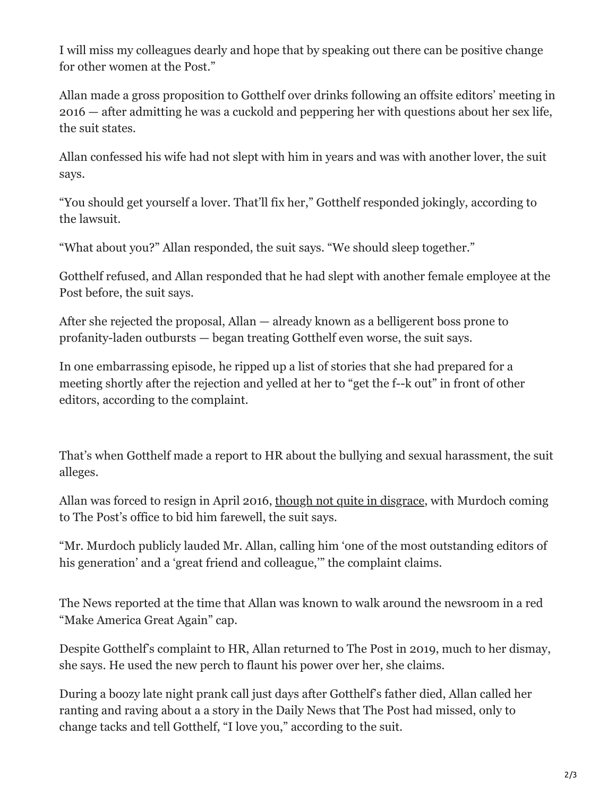I will miss my colleagues dearly and hope that by speaking out there can be positive change for other women at the Post."

Allan made a gross proposition to Gotthelf over drinks following an offsite editors' meeting in 2016 — after admitting he was a cuckold and peppering her with questions about her sex life, the suit states.

Allan confessed his wife had not slept with him in years and was with another lover, the suit says.

"You should get yourself a lover. That'll fix her," Gotthelf responded jokingly, according to the lawsuit.

"What about you?" Allan responded, the suit says. "We should sleep together."

Gotthelf refused, and Allan responded that he had slept with another female employee at the Post before, the suit says.

After she rejected the proposal, Allan — already known as a belligerent boss prone to profanity-laden outbursts — began treating Gotthelf even worse, the suit says.

In one embarrassing episode, he ripped up a list of stories that she had prepared for a meeting shortly after the rejection and yelled at her to "get the f--k out" in front of other editors, according to the complaint.

That's when Gotthelf made a report to HR about the bullying and sexual harassment, the suit alleges.

Allan was forced to resign in April 2016, [though not quite in disgrace](https://www.nydailynews.com/new-york/allan-new-york-post-editor-trump-fan-retire-article-1.2601816), with Murdoch coming to The Post's office to bid him farewell, the suit says.

"Mr. Murdoch publicly lauded Mr. Allan, calling him 'one of the most outstanding editors of his generation' and a 'great friend and colleague,'" the complaint claims.

The News reported at the time that Allan was known to walk around the newsroom in a red "Make America Great Again" cap.

Despite Gotthelf's complaint to HR, Allan returned to The Post in 2019, much to her dismay, she says. He used the new perch to flaunt his power over her, she claims.

During a boozy late night prank call just days after Gotthelf's father died, Allan called her ranting and raving about a a story in the Daily News that The Post had missed, only to change tacks and tell Gotthelf, "I love you," according to the suit.